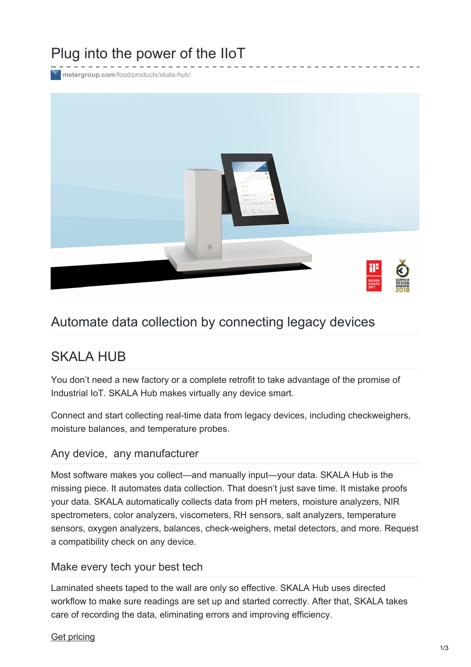# Plug into the power of the IIoT

**metergroup.com**[/food/products/skala-hub/](https://www.metergroup.com/food/products/skala-hub/)



## Automate data collection by connecting legacy devices

## SKALA HUB

You don't need a new factory or a complete retrofit to take advantage of the promise of Industrial IoT. SKALA Hub makes virtually any device smart.

Connect and start collecting real-time data from legacy devices, including checkweighers, moisture balances, and temperature probes.

## Any device, any manufacturer

Most software makes you collect—and manually input—your data. SKALA Hub is the missing piece. It automates data collection. That doesn't just save time. It mistake proofs your data. SKALA automatically collects data from pH meters, moisture analyzers, NIR spectrometers, color analyzers, viscometers, RH sensors, salt analyzers, temperature sensors, oxygen analyzers, balances, check-weighers, metal detectors, and more. Request a compatibility check on any device.

## Make every tech your best tech

Laminated sheets taped to the wall are only so effective. SKALA Hub uses directed workflow to make sure readings are set up and started correctly. After that, SKALA takes care of recording the data, eliminating errors and improving efficiency.

#### Get [pricing](https://www.metergroup.com/request-a-quote/?prod=SKALA HUB)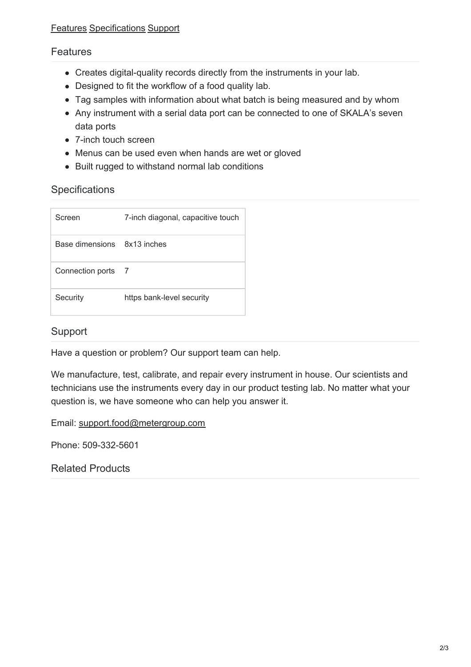#### <span id="page-1-0"></span>**Features**

- Creates digital-quality records directly from the instruments in your lab.
- Designed to fit the workflow of a food quality lab.
- Tag samples with information about what batch is being measured and by whom
- Any instrument with a serial data port can be connected to one of SKALA's seven data ports
- 7-inch touch screen
- Menus can be used even when hands are wet or gloved
- Built rugged to withstand normal lab conditions

## <span id="page-1-1"></span>**Specifications**

| Screen                      | 7-inch diagonal, capacitive touch |
|-----------------------------|-----------------------------------|
| Base dimensions 8x13 inches |                                   |
| Connection ports 7          |                                   |
| Security                    | https bank-level security         |

#### <span id="page-1-2"></span>Support

Have a question or problem? Our support team can help.

We manufacture, test, calibrate, and repair every instrument in house. Our scientists and technicians use the instruments every day in our product testing lab. No matter what your question is, we have someone who can help you answer it.

Email: [support.food@metergroup.com](mailto:support.food@metergroup.com)

Phone: 509-332-5601

Related Products